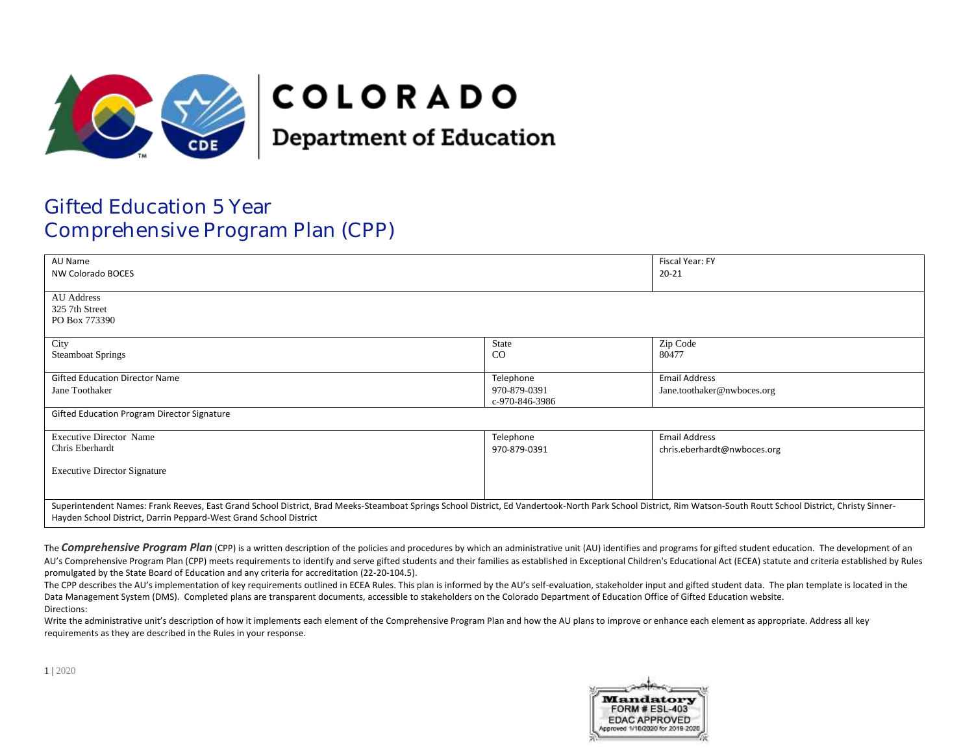

# **COLORADO**

**Department of Education** 

## Gifted Education 5 Year Comprehensive Program Plan (CPP)

| AU Name                                                                                                                                                                                                         |                | Fiscal Year: FY             |
|-----------------------------------------------------------------------------------------------------------------------------------------------------------------------------------------------------------------|----------------|-----------------------------|
| NW Colorado BOCES                                                                                                                                                                                               |                | $20 - 21$                   |
|                                                                                                                                                                                                                 |                |                             |
| <b>AU Address</b>                                                                                                                                                                                               |                |                             |
|                                                                                                                                                                                                                 |                |                             |
| 325 7th Street                                                                                                                                                                                                  |                |                             |
| PO Box 773390                                                                                                                                                                                                   |                |                             |
|                                                                                                                                                                                                                 |                |                             |
| City                                                                                                                                                                                                            | State          | Zip Code                    |
| <b>Steamboat Springs</b>                                                                                                                                                                                        | CO             | 80477                       |
|                                                                                                                                                                                                                 |                |                             |
|                                                                                                                                                                                                                 |                |                             |
| <b>Gifted Education Director Name</b>                                                                                                                                                                           | Telephone      | <b>Email Address</b>        |
| Jane Toothaker                                                                                                                                                                                                  | 970-879-0391   | Jane.toothaker@nwboces.org  |
|                                                                                                                                                                                                                 | c-970-846-3986 |                             |
| Gifted Education Program Director Signature                                                                                                                                                                     |                |                             |
|                                                                                                                                                                                                                 |                |                             |
| <b>Executive Director Name</b>                                                                                                                                                                                  | Telephone      | <b>Email Address</b>        |
| Chris Eberhardt                                                                                                                                                                                                 | 970-879-0391   |                             |
|                                                                                                                                                                                                                 |                | chris.eberhardt@nwboces.org |
|                                                                                                                                                                                                                 |                |                             |
| <b>Executive Director Signature</b>                                                                                                                                                                             |                |                             |
|                                                                                                                                                                                                                 |                |                             |
|                                                                                                                                                                                                                 |                |                             |
| Superintendent Names: Frank Reeves, East Grand School District, Brad Meeks-Steamboat Springs School District, Ed Vandertook-North Park School District, Rim Watson-South Routt School District, Christy Sinner- |                |                             |
|                                                                                                                                                                                                                 |                |                             |
| Hayden School District, Darrin Peppard-West Grand School District                                                                                                                                               |                |                             |

The **Comprehensive Program Plan** (CPP) is a written description of the policies and procedures by which an administrative unit (AU) identifies and programs for gifted student education. The development of an AU's Comprehensive Program Plan (CPP) meets requirements to identify and serve gifted students and their families as established in Exceptional Children's Educational Act (ECEA) statute and criteria established by Rules promulgated by the State Board of Education and any criteria for accreditation (22-20-104.5).

The CPP describes the AU's implementation of key requirements outlined in ECEA Rules. This plan is informed by the AU's self-evaluation, stakeholder input and gifted student data. The plan template is located in the Data Management System (DMS). Completed plans are transparent documents, accessible to stakeholders on the Colorado Department of Education Office of Gifted Education website. Directions:

Write the administrative unit's description of how it implements each element of the Comprehensive Program Plan and how the AU plans to improve or enhance each element as appropriate. Address all key requirements as they are described in the Rules in your response.

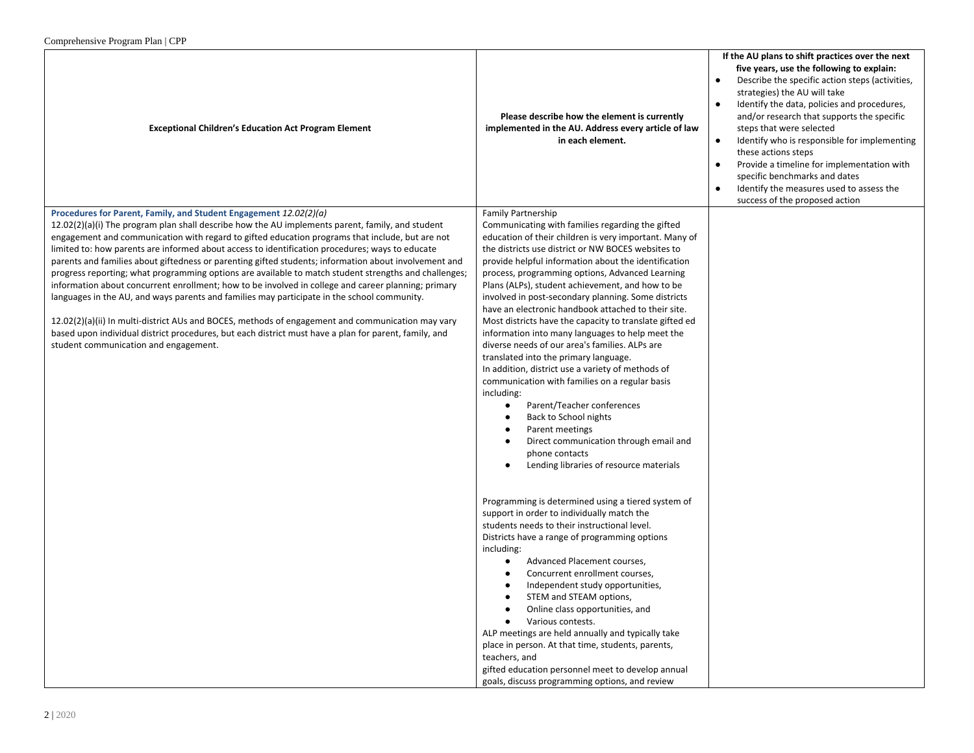| $\text{Computation}$                                                                                                                                                                                                                                                                                                                                                                                                                                                                                                                                                                                                                                                                                                                                                                                                                                                                                                                                                                                                                                         |                                                                                                                                                                                                                                                                                                                                                                                                                                                                                                                                                                                                                                                                                                                                                                                                                                                                                                                                                                                                                                                                                                                                                                                                                                                                                                                                                                                                                                                                                                                                                                                                                                                                                                   |                                                                                                                                                                                                                                                                                                                                                                                                                                                                                                                                                                         |
|--------------------------------------------------------------------------------------------------------------------------------------------------------------------------------------------------------------------------------------------------------------------------------------------------------------------------------------------------------------------------------------------------------------------------------------------------------------------------------------------------------------------------------------------------------------------------------------------------------------------------------------------------------------------------------------------------------------------------------------------------------------------------------------------------------------------------------------------------------------------------------------------------------------------------------------------------------------------------------------------------------------------------------------------------------------|---------------------------------------------------------------------------------------------------------------------------------------------------------------------------------------------------------------------------------------------------------------------------------------------------------------------------------------------------------------------------------------------------------------------------------------------------------------------------------------------------------------------------------------------------------------------------------------------------------------------------------------------------------------------------------------------------------------------------------------------------------------------------------------------------------------------------------------------------------------------------------------------------------------------------------------------------------------------------------------------------------------------------------------------------------------------------------------------------------------------------------------------------------------------------------------------------------------------------------------------------------------------------------------------------------------------------------------------------------------------------------------------------------------------------------------------------------------------------------------------------------------------------------------------------------------------------------------------------------------------------------------------------------------------------------------------------|-------------------------------------------------------------------------------------------------------------------------------------------------------------------------------------------------------------------------------------------------------------------------------------------------------------------------------------------------------------------------------------------------------------------------------------------------------------------------------------------------------------------------------------------------------------------------|
| <b>Exceptional Children's Education Act Program Element</b>                                                                                                                                                                                                                                                                                                                                                                                                                                                                                                                                                                                                                                                                                                                                                                                                                                                                                                                                                                                                  | Please describe how the element is currently<br>implemented in the AU. Address every article of law<br>in each element.                                                                                                                                                                                                                                                                                                                                                                                                                                                                                                                                                                                                                                                                                                                                                                                                                                                                                                                                                                                                                                                                                                                                                                                                                                                                                                                                                                                                                                                                                                                                                                           | If the AU plans to shift practices over the next<br>five years, use the following to explain:<br>Describe the specific action steps (activities,<br>strategies) the AU will take<br>Identify the data, policies and procedures,<br>$\bullet$<br>and/or research that supports the specific<br>steps that were selected<br>Identify who is responsible for implementing<br>$\bullet$<br>these actions steps<br>Provide a timeline for implementation with<br>specific benchmarks and dates<br>Identify the measures used to assess the<br>success of the proposed action |
| Procedures for Parent, Family, and Student Engagement 12.02(2)(a)<br>$12.02(2)(a)(i)$ The program plan shall describe how the AU implements parent, family, and student<br>engagement and communication with regard to gifted education programs that include, but are not<br>limited to: how parents are informed about access to identification procedures; ways to educate<br>parents and families about giftedness or parenting gifted students; information about involvement and<br>progress reporting; what programming options are available to match student strengths and challenges;<br>information about concurrent enrollment; how to be involved in college and career planning; primary<br>languages in the AU, and ways parents and families may participate in the school community.<br>12.02(2)(a)(ii) In multi-district AUs and BOCES, methods of engagement and communication may vary<br>based upon individual district procedures, but each district must have a plan for parent, family, and<br>student communication and engagement. | Family Partnership<br>Communicating with families regarding the gifted<br>education of their children is very important. Many of<br>the districts use district or NW BOCES websites to<br>provide helpful information about the identification<br>process, programming options, Advanced Learning<br>Plans (ALPs), student achievement, and how to be<br>involved in post-secondary planning. Some districts<br>have an electronic handbook attached to their site.<br>Most districts have the capacity to translate gifted ed<br>information into many languages to help meet the<br>diverse needs of our area's families. ALPs are<br>translated into the primary language.<br>In addition, district use a variety of methods of<br>communication with families on a regular basis<br>including:<br>Parent/Teacher conferences<br>$\bullet$<br>Back to School nights<br>$\bullet$<br>Parent meetings<br>Direct communication through email and<br>phone contacts<br>Lending libraries of resource materials<br>Programming is determined using a tiered system of<br>support in order to individually match the<br>students needs to their instructional level.<br>Districts have a range of programming options<br>including:<br>Advanced Placement courses,<br>$\bullet$<br>Concurrent enrollment courses,<br>$\bullet$<br>Independent study opportunities,<br>STEM and STEAM options,<br>$\bullet$<br>Online class opportunities, and<br>Various contests.<br>ALP meetings are held annually and typically take<br>place in person. At that time, students, parents,<br>teachers, and<br>gifted education personnel meet to develop annual<br>goals, discuss programming options, and review |                                                                                                                                                                                                                                                                                                                                                                                                                                                                                                                                                                         |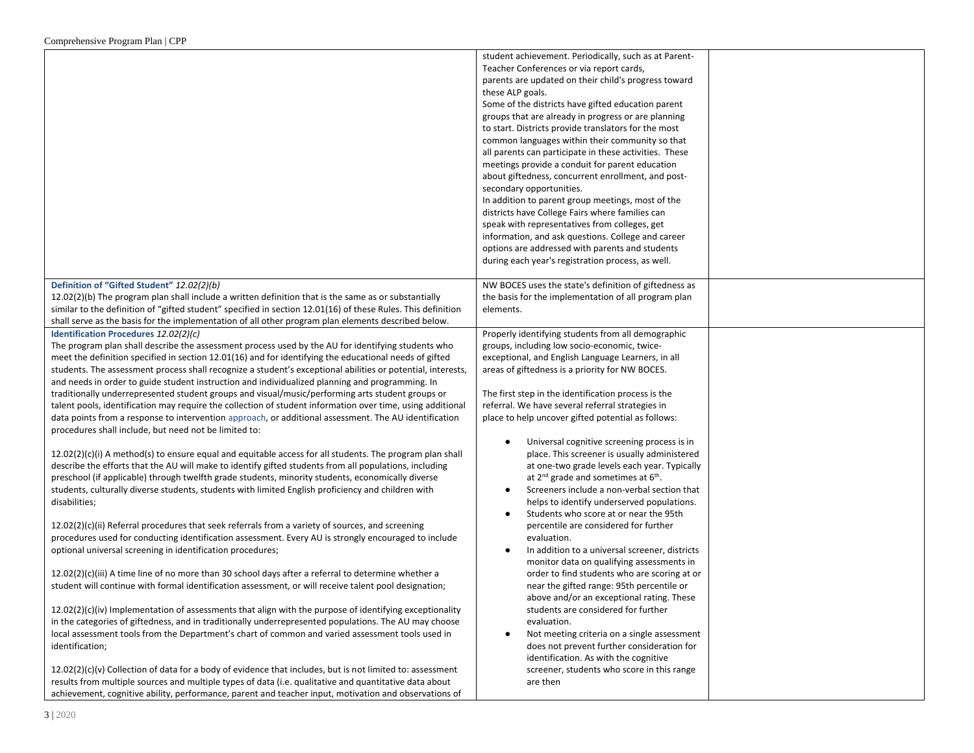|                                                                                                              | student achievement. Periodically, such as at Parent-  |  |
|--------------------------------------------------------------------------------------------------------------|--------------------------------------------------------|--|
|                                                                                                              | Teacher Conferences or via report cards,               |  |
|                                                                                                              | parents are updated on their child's progress toward   |  |
|                                                                                                              | these ALP goals.                                       |  |
|                                                                                                              | Some of the districts have gifted education parent     |  |
|                                                                                                              | groups that are already in progress or are planning    |  |
|                                                                                                              | to start. Districts provide translators for the most   |  |
|                                                                                                              |                                                        |  |
|                                                                                                              | common languages within their community so that        |  |
|                                                                                                              | all parents can participate in these activities. These |  |
|                                                                                                              | meetings provide a conduit for parent education        |  |
|                                                                                                              | about giftedness, concurrent enrollment, and post-     |  |
|                                                                                                              | secondary opportunities.                               |  |
|                                                                                                              | In addition to parent group meetings, most of the      |  |
|                                                                                                              | districts have College Fairs where families can        |  |
|                                                                                                              | speak with representatives from colleges, get          |  |
|                                                                                                              | information, and ask questions. College and career     |  |
|                                                                                                              | options are addressed with parents and students        |  |
|                                                                                                              | during each year's registration process, as well.      |  |
|                                                                                                              |                                                        |  |
| Definition of "Gifted Student" 12.02(2)(b)                                                                   | NW BOCES uses the state's definition of giftedness as  |  |
| $12.02(2)(b)$ The program plan shall include a written definition that is the same as or substantially       | the basis for the implementation of all program plan   |  |
| similar to the definition of "gifted student" specified in section 12.01(16) of these Rules. This definition | elements.                                              |  |
| shall serve as the basis for the implementation of all other program plan elements described below.          |                                                        |  |
| Identification Procedures 12.02(2)(c)                                                                        | Properly identifying students from all demographic     |  |
| The program plan shall describe the assessment process used by the AU for identifying students who           | groups, including low socio-economic, twice-           |  |
| meet the definition specified in section 12.01(16) and for identifying the educational needs of gifted       | exceptional, and English Language Learners, in all     |  |
| students. The assessment process shall recognize a student's exceptional abilities or potential, interests,  | areas of giftedness is a priority for NW BOCES.        |  |
| and needs in order to guide student instruction and individualized planning and programming. In              |                                                        |  |
| traditionally underrepresented student groups and visual/music/performing arts student groups or             | The first step in the identification process is the    |  |
| talent pools, identification may require the collection of student information over time, using additional   | referral. We have several referral strategies in       |  |
| data points from a response to intervention approach, or additional assessment. The AU identification        | place to help uncover gifted potential as follows:     |  |
| procedures shall include, but need not be limited to:                                                        |                                                        |  |
|                                                                                                              | Universal cognitive screening process is in<br>٠       |  |
| $12.02(2)(c)(i)$ A method(s) to ensure equal and equitable access for all students. The program plan shall   | place. This screener is usually administered           |  |
| describe the efforts that the AU will make to identify gifted students from all populations, including       | at one-two grade levels each year. Typically           |  |
| preschool (if applicable) through twelfth grade students, minority students, economically diverse            | at $2^{nd}$ grade and sometimes at $6^{th}$ .          |  |
| students, culturally diverse students, students with limited English proficiency and children with           | Screeners include a non-verbal section that            |  |
| disabilities;                                                                                                | helps to identify underserved populations.             |  |
|                                                                                                              | Students who score at or near the 95th                 |  |
| 12.02(2)(c)(ii) Referral procedures that seek referrals from a variety of sources, and screening             | percentile are considered for further                  |  |
|                                                                                                              |                                                        |  |
| procedures used for conducting identification assessment. Every AU is strongly encouraged to include         | evaluation.                                            |  |
| optional universal screening in identification procedures;                                                   | In addition to a universal screener, districts         |  |
|                                                                                                              | monitor data on qualifying assessments in              |  |
| 12.02(2)(c)(iii) A time line of no more than 30 school days after a referral to determine whether a          | order to find students who are scoring at or           |  |
| student will continue with formal identification assessment, or will receive talent pool designation;        | near the gifted range: 95th percentile or              |  |
|                                                                                                              | above and/or an exceptional rating. These              |  |
| $12.02(2)(c)(iv)$ Implementation of assessments that align with the purpose of identifying exceptionality    | students are considered for further                    |  |
| in the categories of giftedness, and in traditionally underrepresented populations. The AU may choose        | evaluation.                                            |  |
| local assessment tools from the Department's chart of common and varied assessment tools used in             | Not meeting criteria on a single assessment            |  |
| identification;                                                                                              | does not prevent further consideration for             |  |
|                                                                                                              | identification. As with the cognitive                  |  |
| $12.02(2)(c)(v)$ Collection of data for a body of evidence that includes, but is not limited to: assessment  | screener, students who score in this range             |  |
| results from multiple sources and multiple types of data (i.e. qualitative and quantitative data about       | are then                                               |  |
| achievement, cognitive ability, performance, parent and teacher input, motivation and observations of        |                                                        |  |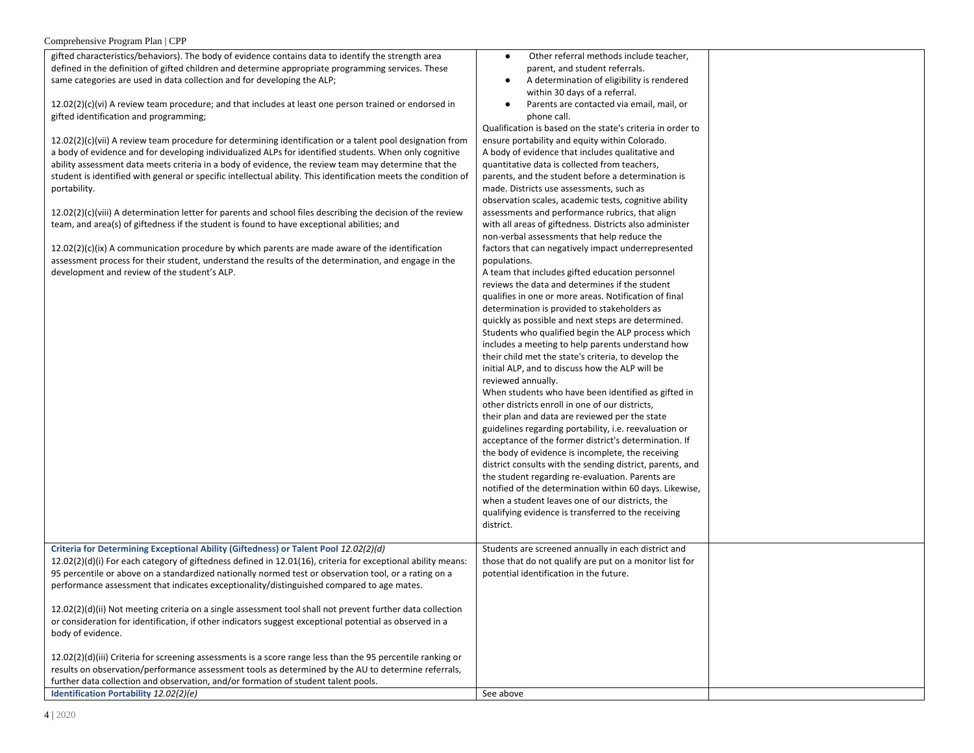gifted characteristics/behaviors). The body of evidence contains data to identify the strength area defined in the definition of gifted children and determine appropriate programming services. These same categories are used in data collection and for developing the ALP;

12.02(2)(c)(vi) A review team procedure; and that includes at least one person trained or endorsed in gifted identification and programming;

12.02(2)(c)(vii) A review team procedure for determining identification or a talent pool designation from a body of evidence and for developing individualized ALPs for identified students. When only cognitive ability assessment data meets criteria in a body of evidence, the review team may determine that the student is identified with general or specific intellectual ability. This identification meets the condition of portability.

12.02(2)(c)(viii) A determination letter for parents and school files describing the decision of the review team, and area(s) of giftedness if the student is found to have exceptional abilities; and

 $12.02(2)(c)(ix)$  A communication procedure by which parents are made aware of the identification assessment process for their student, understand the results of the determination, and engage in the development and review of the student's ALP.

**Identification Portability**  $12.02(2)(e)$ 

- Other referral methods include teacher, parent, and student referrals.
- A determination of eligibility is rendered within 30 days of a referral.
- Parents are contacted via email, mail, or phone call.

Qualification is based on the state's criteria in order to ensure portability and equity within Colorado. A body of evidence that includes qualitative and quantitative data is collected from teachers, parents, and the student before a determination is made. Districts use assessments, such as observation scales, academic tests, cognitive ability assessments and performance rubrics, that align with all areas of giftedness. Districts also administer non-verbal assessments that help reduce the factors that can negatively impact underrepresented populations.

A team that includes gifted education personnel reviews the data and determines if the student qualifies in one or more areas. Notification of final determination is provided to stakeholders as quickly as possible and next steps are determined. Students who qualified begin the ALP process which includes a meeting to help parents understand how their child met the state's criteria, to develop the initial ALP, and to discuss how the ALP will be reviewed annually. When students who have been identified as gifted in other districts enroll in one of our districts, their plan and data are reviewed per the state guidelines regarding portability, i.e. reevaluation or acceptance of the former district's determination. If the body of evidence is incomplete, the receiving the student regarding re-evaluation. Parents are when a student leaves one of our districts, the qualifying evidence is transferred to the receiving district.

|                                                                                                                                                                                                                                                                                                                                                                                                                                                                                                                            | guidelines regarding portability, i.e. reevaluation or<br>acceptance of the former district's determination. If<br>the body of evidence is incomplete, the receiving<br>district consults with the sending district, parents, and<br>the student regarding re-evaluation. Parents are<br>notified of the determination within 60 days. Likewise,<br>when a student leaves one of our districts, the<br>qualifying evidence is transferred to the receiving<br>district. |  |
|----------------------------------------------------------------------------------------------------------------------------------------------------------------------------------------------------------------------------------------------------------------------------------------------------------------------------------------------------------------------------------------------------------------------------------------------------------------------------------------------------------------------------|-------------------------------------------------------------------------------------------------------------------------------------------------------------------------------------------------------------------------------------------------------------------------------------------------------------------------------------------------------------------------------------------------------------------------------------------------------------------------|--|
| Criteria for Determining Exceptional Ability (Giftedness) or Talent Pool 12.02(2)(d)<br>$12.02(2)(d)(i)$ For each category of giftedness defined in 12.01(16), criteria for exceptional ability means:<br>95 percentile or above on a standardized nationally normed test or observation tool, or a rating on a<br>performance assessment that indicates exceptionality/distinguished compared to age mates.<br>12.02(2)(d)(ii) Not meeting criteria on a single assessment tool shall not prevent further data collection | Students are screened annually in each district and<br>those that do not qualify are put on a monitor list for<br>potential identification in the future.                                                                                                                                                                                                                                                                                                               |  |
| or consideration for identification, if other indicators suggest exceptional potential as observed in a<br>body of evidence.                                                                                                                                                                                                                                                                                                                                                                                               |                                                                                                                                                                                                                                                                                                                                                                                                                                                                         |  |
| 12.02(2)(d)(iii) Criteria for screening assessments is a score range less than the 95 percentile ranking or<br>results on observation/performance assessment tools as determined by the AU to determine referrals,<br>further data collection and observation, and/or formation of student talent pools.                                                                                                                                                                                                                   |                                                                                                                                                                                                                                                                                                                                                                                                                                                                         |  |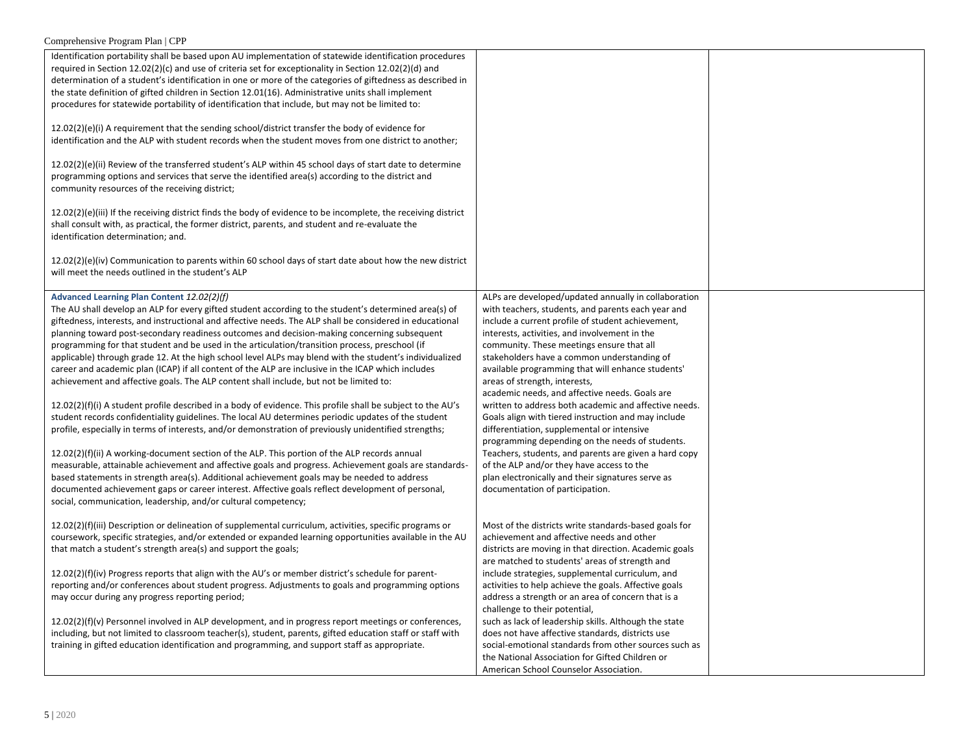| Identification portability shall be based upon AU implementation of statewide identification procedures<br>required in Section 12.02(2)(c) and use of criteria set for exceptionality in Section 12.02(2)(d) and<br>determination of a student's identification in one or more of the categories of giftedness as described in<br>the state definition of gifted children in Section 12.01(16). Administrative units shall implement<br>procedures for statewide portability of identification that include, but may not be limited to:<br>$12.02(2)(e)(i)$ A requirement that the sending school/district transfer the body of evidence for<br>identification and the ALP with student records when the student moves from one district to another;<br>12.02(2)(e)(ii) Review of the transferred student's ALP within 45 school days of start date to determine<br>programming options and services that serve the identified area(s) according to the district and<br>community resources of the receiving district;                                                                                                                                                                                                                                                                                                                                                                                                                                                                                                                                                                        |                                                                                                                                                                                                                                                                                                                                                                                                                                                                                                                                                                                                                                                                                                                                                                                                                                                                     |  |
|-----------------------------------------------------------------------------------------------------------------------------------------------------------------------------------------------------------------------------------------------------------------------------------------------------------------------------------------------------------------------------------------------------------------------------------------------------------------------------------------------------------------------------------------------------------------------------------------------------------------------------------------------------------------------------------------------------------------------------------------------------------------------------------------------------------------------------------------------------------------------------------------------------------------------------------------------------------------------------------------------------------------------------------------------------------------------------------------------------------------------------------------------------------------------------------------------------------------------------------------------------------------------------------------------------------------------------------------------------------------------------------------------------------------------------------------------------------------------------------------------------------------------------------------------------------------------------------------------|---------------------------------------------------------------------------------------------------------------------------------------------------------------------------------------------------------------------------------------------------------------------------------------------------------------------------------------------------------------------------------------------------------------------------------------------------------------------------------------------------------------------------------------------------------------------------------------------------------------------------------------------------------------------------------------------------------------------------------------------------------------------------------------------------------------------------------------------------------------------|--|
| $12.02(2)(e)(iii)$ If the receiving district finds the body of evidence to be incomplete, the receiving district<br>shall consult with, as practical, the former district, parents, and student and re-evaluate the<br>identification determination; and.                                                                                                                                                                                                                                                                                                                                                                                                                                                                                                                                                                                                                                                                                                                                                                                                                                                                                                                                                                                                                                                                                                                                                                                                                                                                                                                                     |                                                                                                                                                                                                                                                                                                                                                                                                                                                                                                                                                                                                                                                                                                                                                                                                                                                                     |  |
| $12.02(2)(e)(iv)$ Communication to parents within 60 school days of start date about how the new district<br>will meet the needs outlined in the student's ALP                                                                                                                                                                                                                                                                                                                                                                                                                                                                                                                                                                                                                                                                                                                                                                                                                                                                                                                                                                                                                                                                                                                                                                                                                                                                                                                                                                                                                                |                                                                                                                                                                                                                                                                                                                                                                                                                                                                                                                                                                                                                                                                                                                                                                                                                                                                     |  |
| Advanced Learning Plan Content 12.02(2)(f)<br>The AU shall develop an ALP for every gifted student according to the student's determined area(s) of<br>giftedness, interests, and instructional and affective needs. The ALP shall be considered in educational<br>planning toward post-secondary readiness outcomes and decision-making concerning subsequent<br>programming for that student and be used in the articulation/transition process, preschool (if<br>applicable) through grade 12. At the high school level ALPs may blend with the student's individualized<br>career and academic plan (ICAP) if all content of the ALP are inclusive in the ICAP which includes<br>achievement and affective goals. The ALP content shall include, but not be limited to:<br>$12.02(2)(f)(i)$ A student profile described in a body of evidence. This profile shall be subject to the AU's<br>student records confidentiality guidelines. The local AU determines periodic updates of the student<br>profile, especially in terms of interests, and/or demonstration of previously unidentified strengths;<br>$12.02(2)(f)(ii)$ A working-document section of the ALP. This portion of the ALP records annual<br>measurable, attainable achievement and affective goals and progress. Achievement goals are standards-<br>based statements in strength area(s). Additional achievement goals may be needed to address<br>documented achievement gaps or career interest. Affective goals reflect development of personal,<br>social, communication, leadership, and/or cultural competency; | ALPs are developed/updated annually in collaboration<br>with teachers, students, and parents each year and<br>include a current profile of student achievement,<br>interests, activities, and involvement in the<br>community. These meetings ensure that all<br>stakeholders have a common understanding of<br>available programming that will enhance students'<br>areas of strength, interests,<br>academic needs, and affective needs. Goals are<br>written to address both academic and affective needs.<br>Goals align with tiered instruction and may include<br>differentiation, supplemental or intensive<br>programming depending on the needs of students.<br>Teachers, students, and parents are given a hard copy<br>of the ALP and/or they have access to the<br>plan electronically and their signatures serve as<br>documentation of participation. |  |
| $12.02(2)(f)(iii)$ Description or delineation of supplemental curriculum, activities, specific programs or<br>coursework, specific strategies, and/or extended or expanded learning opportunities available in the AU<br>that match a student's strength area(s) and support the goals;<br>$12.02(2)(f)(iv)$ Progress reports that align with the AU's or member district's schedule for parent-<br>reporting and/or conferences about student progress. Adjustments to goals and programming options<br>may occur during any progress reporting period;                                                                                                                                                                                                                                                                                                                                                                                                                                                                                                                                                                                                                                                                                                                                                                                                                                                                                                                                                                                                                                      | Most of the districts write standards-based goals for<br>achievement and affective needs and other<br>districts are moving in that direction. Academic goals<br>are matched to students' areas of strength and<br>include strategies, supplemental curriculum, and<br>activities to help achieve the goals. Affective goals<br>address a strength or an area of concern that is a<br>challenge to their potential,                                                                                                                                                                                                                                                                                                                                                                                                                                                  |  |
| 12.02(2)(f)(v) Personnel involved in ALP development, and in progress report meetings or conferences,<br>including, but not limited to classroom teacher(s), student, parents, gifted education staff or staff with<br>training in gifted education identification and programming, and support staff as appropriate.                                                                                                                                                                                                                                                                                                                                                                                                                                                                                                                                                                                                                                                                                                                                                                                                                                                                                                                                                                                                                                                                                                                                                                                                                                                                         | such as lack of leadership skills. Although the state<br>does not have affective standards, districts use<br>social-emotional standards from other sources such as<br>the National Association for Gifted Children or<br>American School Counselor Association.                                                                                                                                                                                                                                                                                                                                                                                                                                                                                                                                                                                                     |  |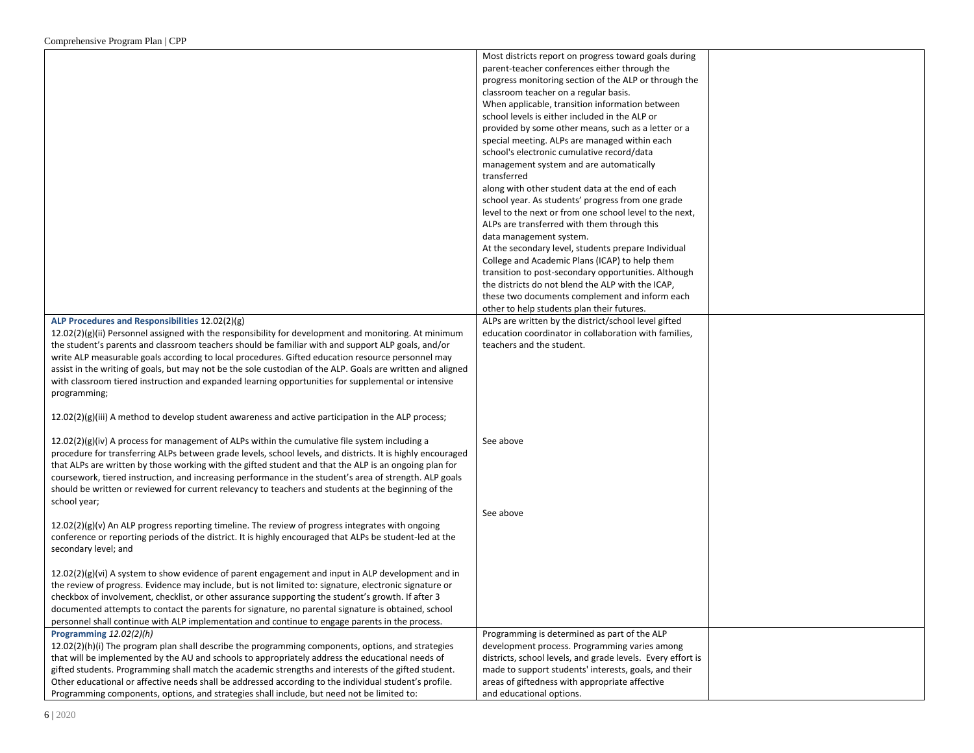|                                                                                                             | Most districts report on progress toward goals during       |  |
|-------------------------------------------------------------------------------------------------------------|-------------------------------------------------------------|--|
|                                                                                                             | parent-teacher conferences either through the               |  |
|                                                                                                             | progress monitoring section of the ALP or through the       |  |
|                                                                                                             | classroom teacher on a regular basis.                       |  |
|                                                                                                             | When applicable, transition information between             |  |
|                                                                                                             | school levels is either included in the ALP or              |  |
|                                                                                                             | provided by some other means, such as a letter or a         |  |
|                                                                                                             |                                                             |  |
|                                                                                                             | special meeting. ALPs are managed within each               |  |
|                                                                                                             | school's electronic cumulative record/data                  |  |
|                                                                                                             | management system and are automatically<br>transferred      |  |
|                                                                                                             | along with other student data at the end of each            |  |
|                                                                                                             | school year. As students' progress from one grade           |  |
|                                                                                                             | level to the next or from one school level to the next,     |  |
|                                                                                                             | ALPs are transferred with them through this                 |  |
|                                                                                                             | data management system.                                     |  |
|                                                                                                             | At the secondary level, students prepare Individual         |  |
|                                                                                                             | College and Academic Plans (ICAP) to help them              |  |
|                                                                                                             |                                                             |  |
|                                                                                                             | transition to post-secondary opportunities. Although        |  |
|                                                                                                             | the districts do not blend the ALP with the ICAP,           |  |
|                                                                                                             | these two documents complement and inform each              |  |
|                                                                                                             | other to help students plan their futures.                  |  |
| ALP Procedures and Responsibilities 12.02(2)(g)                                                             | ALPs are written by the district/school level gifted        |  |
| $12.02(2)(g)(ii)$ Personnel assigned with the responsibility for development and monitoring. At minimum     | education coordinator in collaboration with families,       |  |
| the student's parents and classroom teachers should be familiar with and support ALP goals, and/or          | teachers and the student.                                   |  |
| write ALP measurable goals according to local procedures. Gifted education resource personnel may           |                                                             |  |
| assist in the writing of goals, but may not be the sole custodian of the ALP. Goals are written and aligned |                                                             |  |
| with classroom tiered instruction and expanded learning opportunities for supplemental or intensive         |                                                             |  |
| programming;                                                                                                |                                                             |  |
|                                                                                                             |                                                             |  |
| $12.02(2)(g)(iii)$ A method to develop student awareness and active participation in the ALP process;       |                                                             |  |
|                                                                                                             |                                                             |  |
| $12.02(2)(g)(iv)$ A process for management of ALPs within the cumulative file system including a            | See above                                                   |  |
| procedure for transferring ALPs between grade levels, school levels, and districts. It is highly encouraged |                                                             |  |
| that ALPs are written by those working with the gifted student and that the ALP is an ongoing plan for      |                                                             |  |
| coursework, tiered instruction, and increasing performance in the student's area of strength. ALP goals     |                                                             |  |
| should be written or reviewed for current relevancy to teachers and students at the beginning of the        |                                                             |  |
| school year;                                                                                                |                                                             |  |
|                                                                                                             | See above                                                   |  |
| $12.02(2)(g)(v)$ An ALP progress reporting timeline. The review of progress integrates with ongoing         |                                                             |  |
| conference or reporting periods of the district. It is highly encouraged that ALPs be student-led at the    |                                                             |  |
| secondary level; and                                                                                        |                                                             |  |
|                                                                                                             |                                                             |  |
| $12.02(2)(g)(vi)$ A system to show evidence of parent engagement and input in ALP development and in        |                                                             |  |
| the review of progress. Evidence may include, but is not limited to: signature, electronic signature or     |                                                             |  |
|                                                                                                             |                                                             |  |
| checkbox of involvement, checklist, or other assurance supporting the student's growth. If after 3          |                                                             |  |
| documented attempts to contact the parents for signature, no parental signature is obtained, school         |                                                             |  |
| personnel shall continue with ALP implementation and continue to engage parents in the process.             |                                                             |  |
| Programming $12.02(2)(h)$                                                                                   | Programming is determined as part of the ALP                |  |
| $12.02(2)(h)(i)$ The program plan shall describe the programming components, options, and strategies        | development process. Programming varies among               |  |
| that will be implemented by the AU and schools to appropriately address the educational needs of            | districts, school levels, and grade levels. Every effort is |  |
| gifted students. Programming shall match the academic strengths and interests of the gifted student.        | made to support students' interests, goals, and their       |  |
| Other educational or affective needs shall be addressed according to the individual student's profile.      | areas of giftedness with appropriate affective              |  |
| Programming components, options, and strategies shall include, but need not be limited to:                  | and educational options.                                    |  |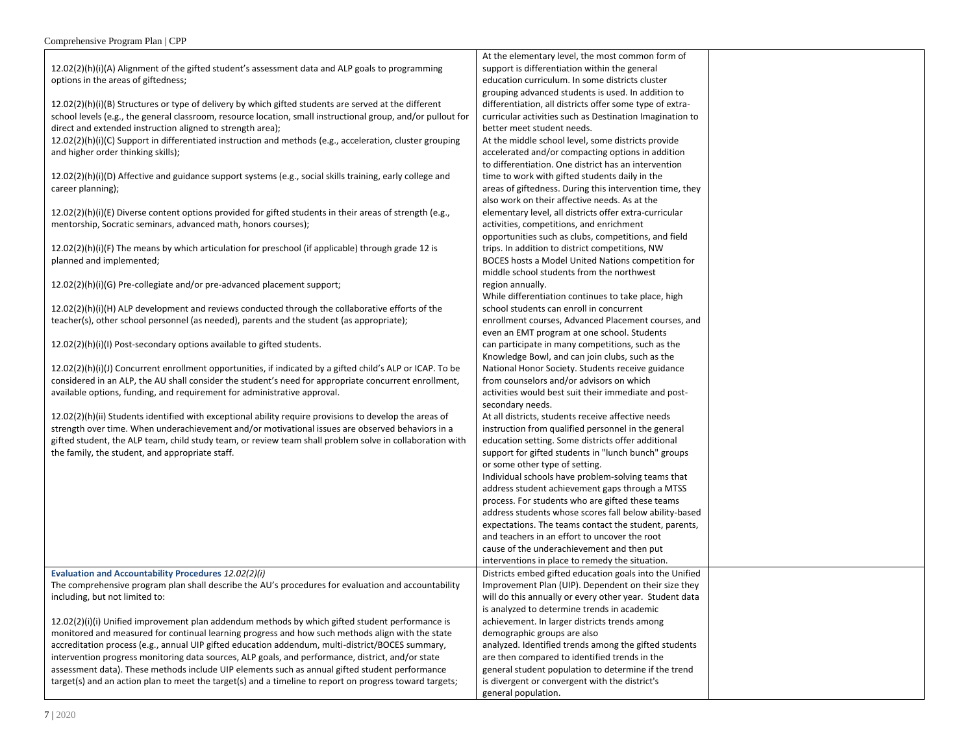12.02(2)(h)(i)(A) Alignment of the gifted student's assessment data and ALP goals to programming options in the areas of giftedness;

12.02(2)(h)(i)(B) Structures or type of delivery by which gifted students are served at the different school levels (e.g., the general classroom, resource location, small instructional group, and/or pullout for direct and extended instruction aligned to strength area);

12.02(2)(h)(i)(C) Support in differentiated instruction and methods (e.g., acceleration, cluster grouping and higher order thinking skills);

12.02(2)(h)(i)(D) Affective and guidance support systems (e.g., social skills training, early college and career planning);

12.02(2)(h)(i)(E) Diverse content options provided for gifted students in their areas of strength (e.g., mentorship, Socratic seminars, advanced math, honors courses);

12.02(2)(h)(i)(F) The means by which articulation for preschool (if applicable) through grade 12 is planned and implemented;

12.02(2)(h)(i)(G) Pre-collegiate and/or pre-advanced placement support;

12.02(2)(h)(i)(H) ALP development and reviews conducted through the collaborative efforts of the teacher(s), other school personnel (as needed), parents and the student (as appropriate);

12.02(2)(h)(i)(I) Post-secondary options available to gifted students.

12.02(2)(h)(i)(J) Concurrent enrollment opportunities, if indicated by a gifted child's ALP or ICAP. To be considered in an ALP, the AU shall consider the student's need for appropriate concurrent enrollment, available options, funding, and requirement for administrative approval.

12.02(2)(h)(ii) Students identified with exceptional ability require provisions to develop the areas of strength over time. When underachievement and/or motivational issues are observed behaviors in a gifted student, the ALP team, child study team, or review team shall problem solve in collaboration with the family, the student, and appropriate staff.

**Evaluation and Accountability Procedures** *12.02(2)(i)* The comprehensive program plan shall describe the AU's procedures for evaluation and accountability including, but not limited to:

12.02(2)(i)(i) Unified improvement plan addendum methods by which gifted student performance is monitored and measured for continual learning progress and how such methods align with the state accreditation process (e.g., annual UIP gifted education addendum, multi-district/BOCES summary, intervention progress monitoring data sources, ALP goals, and performance, district, and/or state assessment data). These methods include UIP elements such as annual gifted student performance target(s) and an action plan to meet the target(s) and a timeline to report on progress toward targets; curricular activities such as Destination Imagination to better meet student needs. At the middle school level, some districts provide accelerated and/or compacting options in addition to differentiation. One district has an intervention time to work with gifted students daily in the areas of giftedness. During this intervention time, they also work on their affective needs. As at the elementary level, all districts offer extra-curricular activities, competitions, and enrichment opportunities such as clubs, competitions, and field trips. In addition to district competitions, NW BOCES hosts a Model United Nations competition for middle school students from the northwest region annually. While differentiation continues to take place, high school students can enroll in concurrent enrollment courses, Advanced Placement courses, and even an EMT program at one school. Students can participate in many competitions, such as the Knowledge Bowl, and can join clubs, such as the National Honor Society. Students receive guidance from counselors and/or advisors on which

At the elementary level, the most common form of support is differentiation within the general education curriculum. In some districts cluster grouping advanced students is used. In addition to differentiation, all districts offer some type of extra-

activities would best suit their immediate and postsecondary needs. At all districts, students receive affective needs instruction from qualified personnel in the general education setting. Some districts offer additional

support for gifted students in "lunch bunch" groups or some other type of setting. Individual schools have problem-solving teams that address student achievement gaps through a MTSS process. For students who are gifted these teams address students whose scores fall below ability-based expectations. The teams contact the student, parents, and teachers in an effort to uncover the root cause of the underachievement and then put

interventions in place to remedy the situation. Districts embed gifted education goals into the Unified

analyzed. Identified trends among the gifted students are then compared to identified trends in the general student population to determine if the trend is divergent or convergent with the district's

Improvement Plan (UIP). Dependent on their size they will do this annually or every other year. Student data

is analyzed to determine trends in academic achievement. In larger districts trends among

demographic groups are also

general population.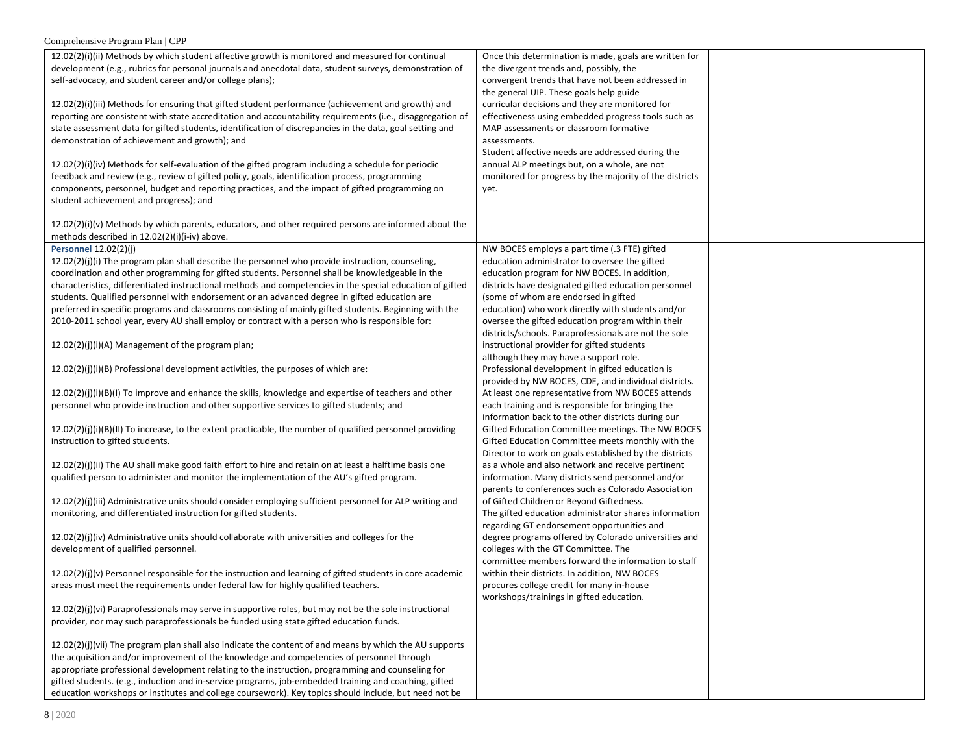| $12.02(2)(i)(ii)$ Methods by which student affective growth is monitored and measured for continual         | Once this determination is made, goals are written for  |  |
|-------------------------------------------------------------------------------------------------------------|---------------------------------------------------------|--|
| development (e.g., rubrics for personal journals and anecdotal data, student surveys, demonstration of      | the divergent trends and, possibly, the                 |  |
| self-advocacy, and student career and/or college plans);                                                    | convergent trends that have not been addressed in       |  |
|                                                                                                             | the general UIP. These goals help guide                 |  |
| 12.02(2)(i)(iii) Methods for ensuring that gifted student performance (achievement and growth) and          | curricular decisions and they are monitored for         |  |
| reporting are consistent with state accreditation and accountability requirements (i.e., disaggregation of  | effectiveness using embedded progress tools such as     |  |
| state assessment data for gifted students, identification of discrepancies in the data, goal setting and    | MAP assessments or classroom formative                  |  |
| demonstration of achievement and growth); and                                                               | assessments.                                            |  |
|                                                                                                             | Student affective needs are addressed during the        |  |
| 12.02(2)(i)(iv) Methods for self-evaluation of the gifted program including a schedule for periodic         | annual ALP meetings but, on a whole, are not            |  |
|                                                                                                             |                                                         |  |
| feedback and review (e.g., review of gifted policy, goals, identification process, programming              | monitored for progress by the majority of the districts |  |
| components, personnel, budget and reporting practices, and the impact of gifted programming on              | yet.                                                    |  |
| student achievement and progress); and                                                                      |                                                         |  |
|                                                                                                             |                                                         |  |
| $12.02(2)(i)(v)$ Methods by which parents, educators, and other required persons are informed about the     |                                                         |  |
| methods described in 12.02(2)(i)(i-iv) above.                                                               |                                                         |  |
| Personnel 12.02(2)(j)                                                                                       | NW BOCES employs a part time (.3 FTE) gifted            |  |
| 12.02(2)(j)(i) The program plan shall describe the personnel who provide instruction, counseling,           | education administrator to oversee the gifted           |  |
| coordination and other programming for gifted students. Personnel shall be knowledgeable in the             | education program for NW BOCES. In addition,            |  |
| characteristics, differentiated instructional methods and competencies in the special education of gifted   | districts have designated gifted education personnel    |  |
| students. Qualified personnel with endorsement or an advanced degree in gifted education are                | (some of whom are endorsed in gifted                    |  |
|                                                                                                             |                                                         |  |
| preferred in specific programs and classrooms consisting of mainly gifted students. Beginning with the      | education) who work directly with students and/or       |  |
| 2010-2011 school year, every AU shall employ or contract with a person who is responsible for:              | oversee the gifted education program within their       |  |
|                                                                                                             | districts/schools. Paraprofessionals are not the sole   |  |
| 12.02(2)(j)(i)(A) Management of the program plan;                                                           | instructional provider for gifted students              |  |
|                                                                                                             | although they may have a support role.                  |  |
| 12.02(2)(j)(i)(B) Professional development activities, the purposes of which are:                           | Professional development in gifted education is         |  |
|                                                                                                             | provided by NW BOCES, CDE, and individual districts.    |  |
| $12.02(2)(j)(i)(B)(l)$ To improve and enhance the skills, knowledge and expertise of teachers and other     | At least one representative from NW BOCES attends       |  |
| personnel who provide instruction and other supportive services to gifted students; and                     | each training and is responsible for bringing the       |  |
|                                                                                                             | information back to the other districts during our      |  |
| $12.02(2)(j)(i)(B)(II)$ To increase, to the extent practicable, the number of qualified personnel providing | Gifted Education Committee meetings. The NW BOCES       |  |
| instruction to gifted students.                                                                             | Gifted Education Committee meets monthly with the       |  |
|                                                                                                             |                                                         |  |
|                                                                                                             | Director to work on goals established by the districts  |  |
| 12.02(2)(j)(ii) The AU shall make good faith effort to hire and retain on at least a halftime basis one     | as a whole and also network and receive pertinent       |  |
| qualified person to administer and monitor the implementation of the AU's gifted program.                   | information. Many districts send personnel and/or       |  |
|                                                                                                             | parents to conferences such as Colorado Association     |  |
| 12.02(2)(j)(iii) Administrative units should consider employing sufficient personnel for ALP writing and    | of Gifted Children or Beyond Giftedness.                |  |
| monitoring, and differentiated instruction for gifted students.                                             | The gifted education administrator shares information   |  |
|                                                                                                             | regarding GT endorsement opportunities and              |  |
| $12.02(2)(j)(iv)$ Administrative units should collaborate with universities and colleges for the            | degree programs offered by Colorado universities and    |  |
| development of qualified personnel.                                                                         | colleges with the GT Committee. The                     |  |
|                                                                                                             | committee members forward the information to staff      |  |
| $12.02(2)(j)(v)$ Personnel responsible for the instruction and learning of gifted students in core academic | within their districts. In addition, NW BOCES           |  |
| areas must meet the requirements under federal law for highly qualified teachers.                           | procures college credit for many in-house               |  |
|                                                                                                             |                                                         |  |
| 12.02(2)(j)(vi) Paraprofessionals may serve in supportive roles, but may not be the sole instructional      | workshops/trainings in gifted education.                |  |
|                                                                                                             |                                                         |  |
| provider, nor may such paraprofessionals be funded using state gifted education funds.                      |                                                         |  |
|                                                                                                             |                                                         |  |
| 12.02(2)(j)(vii) The program plan shall also indicate the content of and means by which the AU supports     |                                                         |  |
| the acquisition and/or improvement of the knowledge and competencies of personnel through                   |                                                         |  |
| appropriate professional development relating to the instruction, programming and counseling for            |                                                         |  |
| gifted students. (e.g., induction and in-service programs, job-embedded training and coaching, gifted       |                                                         |  |
| education workshops or institutes and college coursework). Key topics should include, but need not be       |                                                         |  |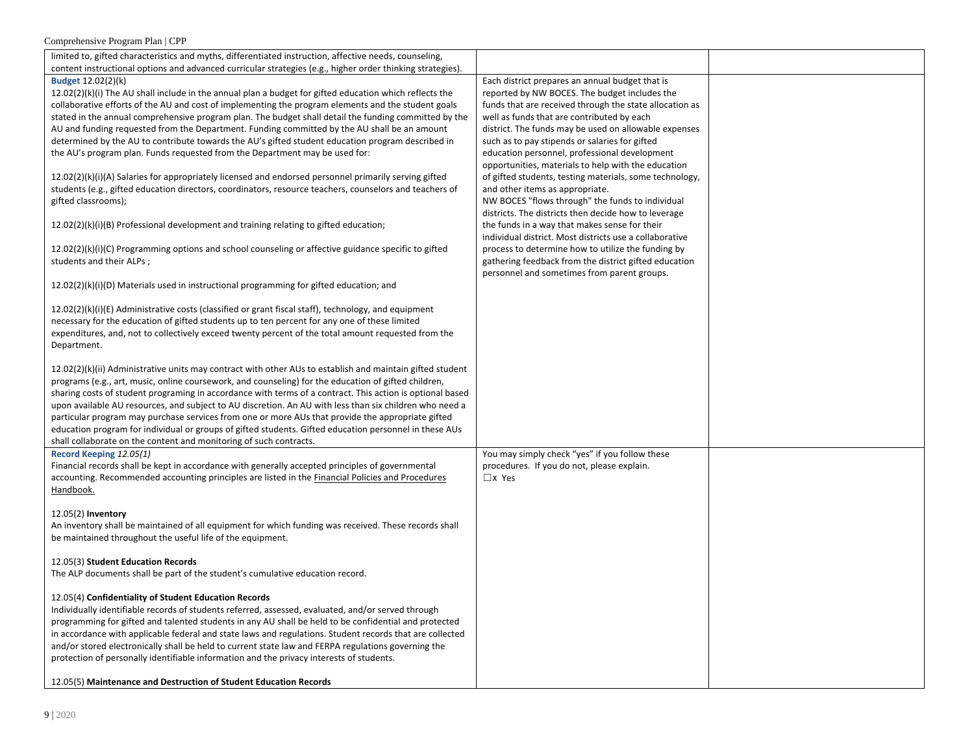| limited to, gifted characteristics and myths, differentiated instruction, affective needs, counseling,<br>content instructional options and advanced curricular strategies (e.g., higher order thinking strategies).                                                                                                                                                                                                                                                                                                                                                                                                                                                                                                                                                                                                                                                                  |                                                                                                                                                                                                                                                                                                                                                                                                                                                                                                                                                                                |  |
|---------------------------------------------------------------------------------------------------------------------------------------------------------------------------------------------------------------------------------------------------------------------------------------------------------------------------------------------------------------------------------------------------------------------------------------------------------------------------------------------------------------------------------------------------------------------------------------------------------------------------------------------------------------------------------------------------------------------------------------------------------------------------------------------------------------------------------------------------------------------------------------|--------------------------------------------------------------------------------------------------------------------------------------------------------------------------------------------------------------------------------------------------------------------------------------------------------------------------------------------------------------------------------------------------------------------------------------------------------------------------------------------------------------------------------------------------------------------------------|--|
| <b>Budget 12.02(2)(k)</b><br>$12.02(2)(k)(i)$ The AU shall include in the annual plan a budget for gifted education which reflects the<br>collaborative efforts of the AU and cost of implementing the program elements and the student goals<br>stated in the annual comprehensive program plan. The budget shall detail the funding committed by the<br>AU and funding requested from the Department. Funding committed by the AU shall be an amount<br>determined by the AU to contribute towards the AU's gifted student education program described in<br>the AU's program plan. Funds requested from the Department may be used for:<br>12.02(2)(k)(i)(A) Salaries for appropriately licensed and endorsed personnel primarily serving gifted<br>students (e.g., gifted education directors, coordinators, resource teachers, counselors and teachers of<br>gifted classrooms); | Each district prepares an annual budget that is<br>reported by NW BOCES. The budget includes the<br>funds that are received through the state allocation as<br>well as funds that are contributed by each<br>district. The funds may be used on allowable expenses<br>such as to pay stipends or salaries for gifted<br>education personnel, professional development<br>opportunities, materials to help with the education<br>of gifted students, testing materials, some technology,<br>and other items as appropriate.<br>NW BOCES "flows through" the funds to individual |  |
| 12.02(2)(k)(i)(B) Professional development and training relating to gifted education;                                                                                                                                                                                                                                                                                                                                                                                                                                                                                                                                                                                                                                                                                                                                                                                                 | districts. The districts then decide how to leverage<br>the funds in a way that makes sense for their<br>individual district. Most districts use a collaborative                                                                                                                                                                                                                                                                                                                                                                                                               |  |
| 12.02(2)(k)(i)(C) Programming options and school counseling or affective guidance specific to gifted<br>students and their ALPs;                                                                                                                                                                                                                                                                                                                                                                                                                                                                                                                                                                                                                                                                                                                                                      | process to determine how to utilize the funding by<br>gathering feedback from the district gifted education<br>personnel and sometimes from parent groups.                                                                                                                                                                                                                                                                                                                                                                                                                     |  |
| $12.02(2)(k)(i)(D)$ Materials used in instructional programming for gifted education; and                                                                                                                                                                                                                                                                                                                                                                                                                                                                                                                                                                                                                                                                                                                                                                                             |                                                                                                                                                                                                                                                                                                                                                                                                                                                                                                                                                                                |  |
| 12.02(2)(k)(i)(E) Administrative costs (classified or grant fiscal staff), technology, and equipment<br>necessary for the education of gifted students up to ten percent for any one of these limited<br>expenditures, and, not to collectively exceed twenty percent of the total amount requested from the<br>Department.                                                                                                                                                                                                                                                                                                                                                                                                                                                                                                                                                           |                                                                                                                                                                                                                                                                                                                                                                                                                                                                                                                                                                                |  |
| 12.02(2)(k)(ii) Administrative units may contract with other AUs to establish and maintain gifted student<br>programs (e.g., art, music, online coursework, and counseling) for the education of gifted children,<br>sharing costs of student programing in accordance with terms of a contract. This action is optional based<br>upon available AU resources, and subject to AU discretion. An AU with less than six children who need a<br>particular program may purchase services from one or more AUs that provide the appropriate gifted<br>education program for individual or groups of gifted students. Gifted education personnel in these AUs<br>shall collaborate on the content and monitoring of such contracts.                                                                                                                                                        |                                                                                                                                                                                                                                                                                                                                                                                                                                                                                                                                                                                |  |
| Record Keeping 12.05(1)<br>Financial records shall be kept in accordance with generally accepted principles of governmental<br>accounting. Recommended accounting principles are listed in the Financial Policies and Procedures<br>Handbook.                                                                                                                                                                                                                                                                                                                                                                                                                                                                                                                                                                                                                                         | You may simply check "yes" if you follow these<br>procedures. If you do not, please explain.<br>$\Box$ x Yes                                                                                                                                                                                                                                                                                                                                                                                                                                                                   |  |
| $12.05(2)$ Inventory<br>An inventory shall be maintained of all equipment for which funding was received. These records shall<br>be maintained throughout the useful life of the equipment.                                                                                                                                                                                                                                                                                                                                                                                                                                                                                                                                                                                                                                                                                           |                                                                                                                                                                                                                                                                                                                                                                                                                                                                                                                                                                                |  |
| 12.05(3) Student Education Records<br>The ALP documents shall be part of the student's cumulative education record.                                                                                                                                                                                                                                                                                                                                                                                                                                                                                                                                                                                                                                                                                                                                                                   |                                                                                                                                                                                                                                                                                                                                                                                                                                                                                                                                                                                |  |
| 12.05(4) Confidentiality of Student Education Records<br>Individually identifiable records of students referred, assessed, evaluated, and/or served through<br>programming for gifted and talented students in any AU shall be held to be confidential and protected<br>in accordance with applicable federal and state laws and regulations. Student records that are collected<br>and/or stored electronically shall be held to current state law and FERPA regulations governing the<br>protection of personally identifiable information and the privacy interests of students.                                                                                                                                                                                                                                                                                                   |                                                                                                                                                                                                                                                                                                                                                                                                                                                                                                                                                                                |  |
| 12.05(5) Maintenance and Destruction of Student Education Records                                                                                                                                                                                                                                                                                                                                                                                                                                                                                                                                                                                                                                                                                                                                                                                                                     |                                                                                                                                                                                                                                                                                                                                                                                                                                                                                                                                                                                |  |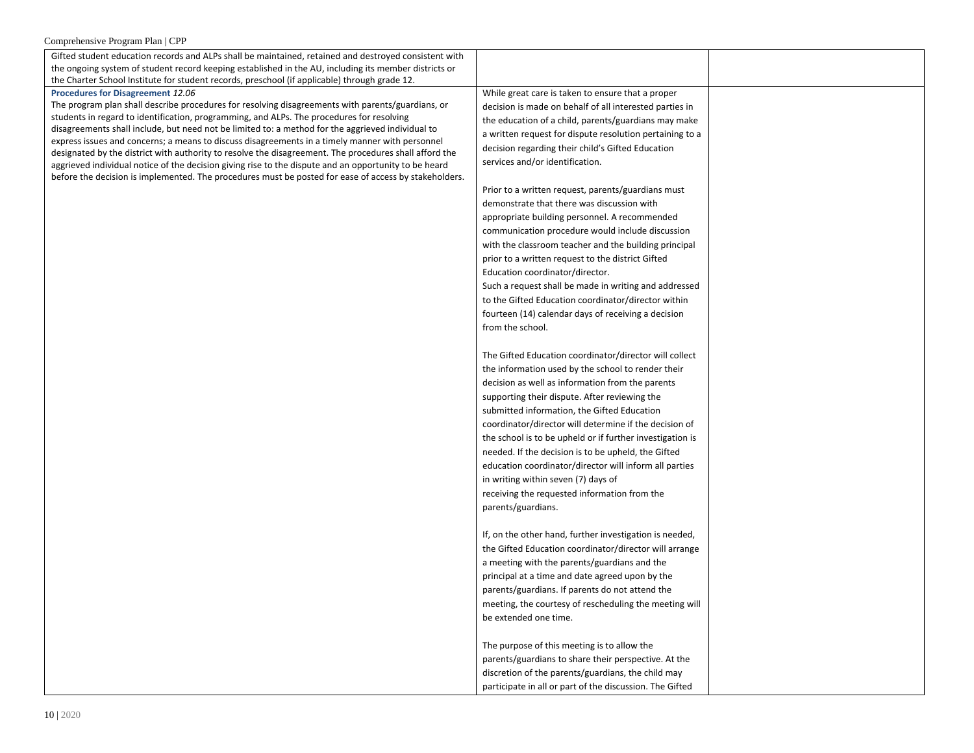| Gifted student education records and ALPs shall be maintained, retained and destroyed consistent with<br>the ongoing system of student record keeping established in the AU, including its member districts or<br>the Charter School Institute for student records, preschool (if applicable) through grade 12.                                                                                                                                                                                                                                                                                                                                                                                                                                                         |                                                                                                                                                                                                                                                                                                                                                                                                                                                                                                                                                                                                                                                                                                                                                                                                    |
|-------------------------------------------------------------------------------------------------------------------------------------------------------------------------------------------------------------------------------------------------------------------------------------------------------------------------------------------------------------------------------------------------------------------------------------------------------------------------------------------------------------------------------------------------------------------------------------------------------------------------------------------------------------------------------------------------------------------------------------------------------------------------|----------------------------------------------------------------------------------------------------------------------------------------------------------------------------------------------------------------------------------------------------------------------------------------------------------------------------------------------------------------------------------------------------------------------------------------------------------------------------------------------------------------------------------------------------------------------------------------------------------------------------------------------------------------------------------------------------------------------------------------------------------------------------------------------------|
| Procedures for Disagreement 12.06<br>The program plan shall describe procedures for resolving disagreements with parents/guardians, or<br>students in regard to identification, programming, and ALPs. The procedures for resolving<br>disagreements shall include, but need not be limited to: a method for the aggrieved individual to<br>express issues and concerns; a means to discuss disagreements in a timely manner with personnel<br>designated by the district with authority to resolve the disagreement. The procedures shall afford the<br>aggrieved individual notice of the decision giving rise to the dispute and an opportunity to be heard<br>before the decision is implemented. The procedures must be posted for ease of access by stakeholders. | While great care is taken to ensure that a proper<br>decision is made on behalf of all interested parties in<br>the education of a child, parents/guardians may make<br>a written request for dispute resolution pertaining to a<br>decision regarding their child's Gifted Education<br>services and/or identification.<br>Prior to a written request, parents/guardians must<br>demonstrate that there was discussion with<br>appropriate building personnel. A recommended<br>communication procedure would include discussion<br>with the classroom teacher and the building principal<br>prior to a written request to the district Gifted<br>Education coordinator/director.<br>Such a request shall be made in writing and addressed<br>to the Gifted Education coordinator/director within |
|                                                                                                                                                                                                                                                                                                                                                                                                                                                                                                                                                                                                                                                                                                                                                                         | fourteen (14) calendar days of receiving a decision<br>from the school.<br>The Gifted Education coordinator/director will collect<br>the information used by the school to render their<br>decision as well as information from the parents<br>supporting their dispute. After reviewing the<br>submitted information, the Gifted Education<br>coordinator/director will determine if the decision of<br>the school is to be upheld or if further investigation is<br>needed. If the decision is to be upheld, the Gifted<br>education coordinator/director will inform all parties<br>in writing within seven (7) days of<br>receiving the requested information from the<br>parents/guardians.                                                                                                   |
|                                                                                                                                                                                                                                                                                                                                                                                                                                                                                                                                                                                                                                                                                                                                                                         | If, on the other hand, further investigation is needed,<br>the Gifted Education coordinator/director will arrange<br>a meeting with the parents/guardians and the<br>principal at a time and date agreed upon by the<br>parents/guardians. If parents do not attend the<br>meeting, the courtesy of rescheduling the meeting will<br>be extended one time.<br>The purpose of this meeting is to allow the<br>parents/guardians to share their perspective. At the<br>discretion of the parents/guardians, the child may<br>participate in all or part of the discussion. The Gifted                                                                                                                                                                                                                |